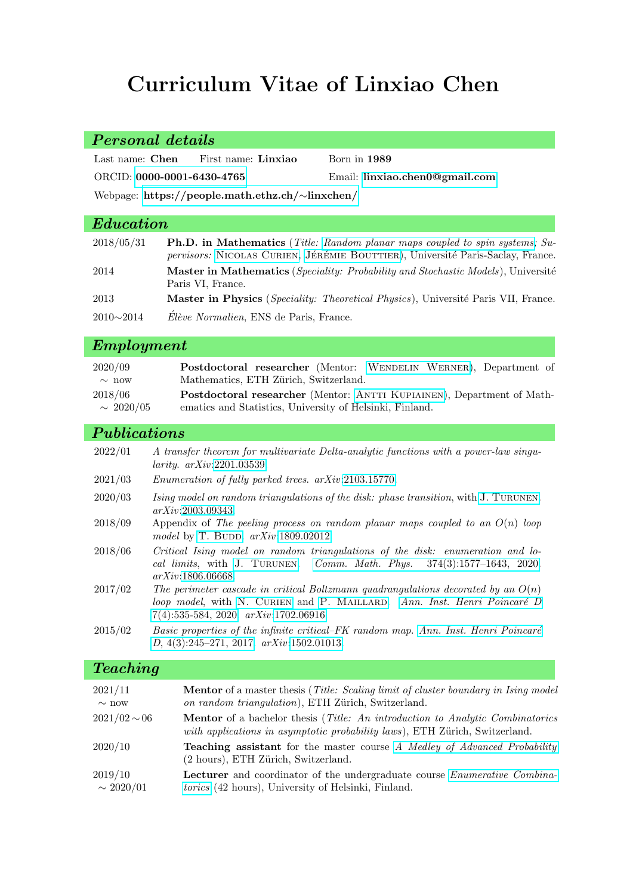# Curriculum Vitae of Linxiao Chen

# Personal details Last name: Chen First name: Linxiao Born in 1989 ORCID: [0000-0001-6430-4765](https://orcid.org/0000-0001-6430-4765) Email: [linxiao.chen0@gmail.com](mailto://linxiao.chen0@gmail.com) Webpage: [https://people.math.ethz.ch/](https://people.math.ethz.ch/~linxchen/)∼linxchen/  $E_{\text{dec}}$

| Luucuvon         |                                                                                                                                                                       |
|------------------|-----------------------------------------------------------------------------------------------------------------------------------------------------------------------|
| 2018/05/31       | <b>Ph.D.</b> in Mathematics (Title: Random planar maps coupled to spin systems; Su-<br>pervisors: NICOLAS CURIEN, JÉRÉMIE BOUTTIER), Université Paris-Saclay, France. |
| 2014             | <b>Master in Mathematics</b> ( <i>Speciality: Probability and Stochastic Models</i> ), Université<br>Paris VI, France.                                                |
| 2013             | <b>Master in Physics</b> ( <i>Speciality: Theoretical Physics</i> ), Université Paris VII, France.                                                                    |
| $2010 \sim 2014$ | Élève Normalien, ENS de Paris, France.                                                                                                                                |

# Employment

| 2020/09        | Postdoctoral researcher (Mentor: WENDELIN WERNER), Department of       |
|----------------|------------------------------------------------------------------------|
| $\sim$ now     | Mathematics, ETH Zürich, Switzerland.                                  |
| 2018/06        | Postdoctoral researcher (Mentor: ANTTI KUPIAINEN), Department of Math- |
| $\sim 2020/05$ | ematics and Statistics, University of Helsinki, Finland.               |

#### Publications

| 2022/01 | A transfer theorem for multivariate Delta-analytic functions with a power-law singu-<br>$larity.$ $arXiv:2201.03539.$     |
|---------|---------------------------------------------------------------------------------------------------------------------------|
| 2021/03 | <i>Enumeration of fully parked trees. arXiv:2103.15770.</i>                                                               |
| 2020/03 | Ising model on random triangulations of the disk: phase transition, with J. TURUNEN.<br>arXiv:2003.09343.                 |
| 2018/09 | Appendix of The peeling process on random planar maps coupled to an $O(n)$ loop<br>model by T. BUDD. $arXiv:1809.02012$ . |
|         |                                                                                                                           |

- 2018/06 Critical Ising model on random triangulations of the disk: enumeration and local limits, with [J. Turunen](http://perso.ens-lyon.fr/joonas.turunen/). Comm. Math. Phys. [374\(3\):1577–1643, 2020.](https://doi.org/10.1007/s00220-019-03672-5) arXiv[:1806.06668.](https://arxiv.org/abs/1806.06668)
- 2017/02 The perimeter cascade in critical Boltzmann quadrangulations decorated by an  $O(n)$ loop model, with N. CURIEN and P. MAILLARD. Ann. Inst. Henri Poincaré D [7\(4\):535-584, 2020.](https://doi.org/10.4171/AIHPD/94) arXiv[:1702.06916.](https://arxiv.org/abs/1702.06916)
- $2015/02$  Basic properties of the infinite critical–FK random map. Ann. Inst. Henri Poincaré D[, 4\(3\):245–271, 2017.](https://doi.org/10.4171/AIHPD/40) arXiv[:1502.01013.](https://arxiv.org/abs/1502.01013)

#### Teaching

| 2021/11           | Mentor of a master thesis (Title: Scaling limit of cluster boundary in Ising model                                                                                          |
|-------------------|-----------------------------------------------------------------------------------------------------------------------------------------------------------------------------|
| $\sim$ now        | on random triangulation), ETH Zürich, Switzerland.                                                                                                                          |
| $2021/02 \sim 06$ | <b>Mentor</b> of a bachelor thesis ( <i>Title: An introduction to Analytic Combinatorics</i><br>with applications in asymptotic probability laws), ETH Zürich, Switzerland. |
| 2020/10           | <b>Teaching assistant</b> for the master course A Medley of Advanced Probability<br>(2 hours), ETH Zürich, Switzerland.                                                     |
| 2019/10           | <b>Lecturer</b> and coordinator of the undergraduate course <i>Enumerative Combina</i> -                                                                                    |
| $\sim 2020/01$    | <i>torics</i> (42 hours), University of Helsinki, Finland.                                                                                                                  |